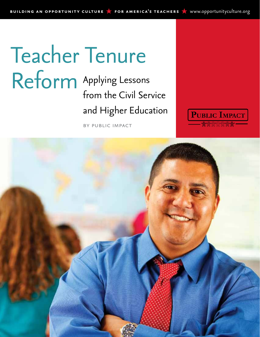# Applying Lessons from the Civil Service and Higher Education Teacher Tenure Reform

by public impact

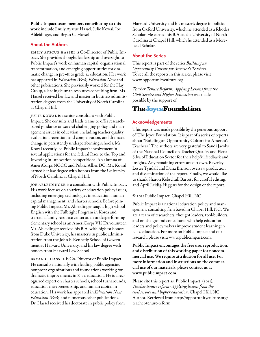Public Impact team members contributing to this work include Emily Ayscue Hassel, Julie Kowal, Joe Ableidinger, and Bryan C. Hassel

#### **About the Authors**

EMILy AYSCUE HASSEL is Co-Director of Public Impact. She provides thought leadership and oversight to Public Impact's work on human capital, organizational transformation, and emerging opportunities for dramatic change in pre–K to grade 12 education. Her work has appeared in *Education Week, Education Next* and other publications. She previously worked for the Hay Group, a leading human resources consulting firm. Ms. Hassel received her law and master in business administration degrees from the University of North Carolina at Chapel Hill.

Julie Kowal is a senior consultant with Public Impact. She consults and leads teams to offer researchbased guidance on several challenging policy and management issues in education, including teacher quality, evaluation, retention, and compensation, and dramatic change in persistently underperforming schools. Ms. Kowal recently led Public Impact's involvement in several applications for the federal Race to the Top and Investing in Innovation competitions. An alumna of AmeriCorps NCCC and Public Allies DC, Ms. Kowal earned her law degree with honors from the University of North Carolina at Chapel Hill.

JOE ABLEIDINGER is a consultant with Public Impact. His work focuses on a variety of education policy issues, including emerging technologies in education, human capital management, and charter schools. Before joining Public Impact, Mr. Ableidinger taught high school English with the Fulbright Program in Korea and started a family resource center at an underperforming elementary school as an AmeriCorps VISTA volunteer. Mr. Ableidinger received his B.A. with highest honors from Duke University, his master's in public administration from the John F. Kennedy School of Government at Harvard University, and his law degree with honors from Harvard Law School.

Bryan C. Hassel is Co-Director of Public Impact. He consults nationally with leading public agencies, nonprofit organizations and foundations working for dramatic improvements in K–12 education. He is a recognized expert on charter schools, school turnarounds, education entrepreneurship, and human capital in education. His work has appeared in *Education Next, Education Week,* and numerous other publications. Dr. Hassel received his doctorate in public policy from

Harvard University and his master's degree in politics from Oxford University, which he attended as a Rhodes Scholar. He earned his B.A. at the University of North Carolina at Chapel Hill, which he attended as a Morehead Scholar.

#### **About the Series**

This report is part of the series *Building an Opportunity Culture for America's Teachers.*  To see all the reports in this series, please visit [www.opportunityculture.org.](www.opportunityculture.org)

*Teacher Tenure Reform: Applying Lessons from the Civil Service and Higher Education* was made possible by the support of

## **The Joyce Foundation**

#### **Acknowledgements**

This report was made possible by the generous support of The Joyce Foundation. It is part of a series of reports about "Building an Opportunity Culture for America's Teachers." The authors are very grateful to Sandi Jacobs of the National Council on Teacher Quality and Elena Silva of Education Sector for their helpful feedback and insights. Any remaining errors are our own. Beverley Lester Tyndall and Dana Brinson oversaw production and dissemination of the report. Finally, we would like to thank Sharon Kebschull Barrett for careful editing, and April Leidig-Higgins for the design of the report.

© 2011 Public Impact, Chapel Hill, NC

Public Impact is a national education policy and management consulting firm based in Chapel Hill, NC. We are a team of researchers, thought leaders, tool-builders, and on-the-ground consultants who help education leaders and policymakers improve student learning in K–12 education. For more on Public Impact and our research, please visit:<www.publicimpact.com>.

Public Impact encourages the free use, reproduction, and distribution of this working paper for noncommercial use. We require attribution for all use. For more information and instructions on the commercial use of our materials, please contact us at <www.publicimpact.com>.

Please cite this report as: Public Impact. (2011). *Teacher tenure reform: Applying lessons from the civil service and higher education*. Chapel Hill, NC: Author. Retrieved from [http://opportunityculture.org/](http://opportunityculture.org/teacher-tenure-reform) [teacher-tenure-reform](http://opportunityculture.org/teacher-tenure-reform)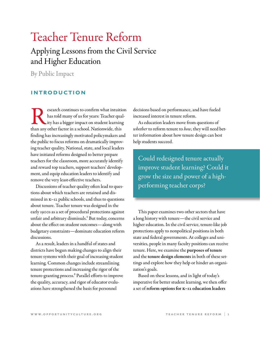# Teacher Tenure Reform

## Applying Lessons from the Civil Service and Higher Education

By Public Impact

### **introduction**

Expressed continues to confirm what intuition<br>has told many of us for years: Teacher qual-<br>ity has a bigger impact on student learning<br>than any other factor in a school. Nationwide, this has told many of us for years: Teacher quality has a bigger impact on student learning than any other factor in a school. Nationwide, this finding has increasingly motivated policymakers and the public to focus reforms on dramatically improving teacher quality. National, state, and local leaders have initiated reforms designed to better prepare teachers for the classroom, more accurately identify and reward top teachers, support teachers' development, and equip education leaders to identify and remove the very least-effective teachers.

Discussions of teacher quality often lead to questions about which teachers are retained and dismissed in K–12 public schools, and thus to questions about tenure. Teacher tenure was designed in the early 1900s as a set of procedural protections against unfair and arbitrary dismissals.<sup>1</sup> But today, concerns about the effect on student outcomes — along with budgetary constraints — dominate education reform discussions.

As a result, leaders in a handful of states and districts have begun making changes to align their tenure systems with their goal of increasing student learning. Common changes include streamlining tenure protections and increasing the rigor of the tenure-granting process.2 Parallel efforts to improve the quality, accuracy, and rigor of educator evaluations have strengthened the basis for personnel

decisions based on performance, and have fueled increased interest in tenure reform.

As education leaders move from questions of *whether* to reform tenure to *how*, they will need better information about how tenure design can best help students succeed.

Could redesigned tenure actually improve student learning? Could it grow the size and power of a highperforming teacher corps?

This paper examines two other sectors that have a long history with tenure — the civil service and higher education. In the civil service, tenure-like job protections apply to nonpolitical positions in both state and federal governments. At colleges and universities, people in many faculty positions can receive tenure. Here, we examine the purposes of tenure and the tenure design elements in both of these settings and explore how they help or hinder an organization's goals.

Based on these lessons, and in light of today's imperative for better student learning, we then offer a set of reform options for K–12 education leaders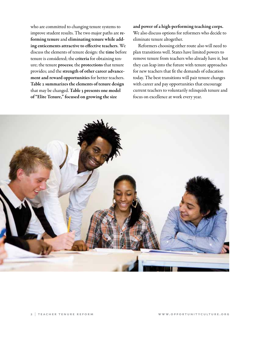who are committed to changing tenure systems to improve student results. The two major paths are reforming tenure and eliminating tenure while adding enticements attractive to effective teachers. We discuss the elements of tenure design: the time before tenure is considered; the criteria for obtaining tenure; the tenure process; the protections that tenure provides; and the strength of other career advancement and reward opportunities for better teachers. Table 2 summarizes the elements of tenure design that may be changed. Table 3 presents one model of "Elite Tenure," focused on growing the size

and power of a high-performing teaching corps. We also discuss options for reformers who decide to eliminate tenure altogether.

Reformers choosing either route also will need to plan transitions well. States have limited powers to remove tenure from teachers who already have it, but they can leap into the future with tenure approaches for new teachers that fit the demands of education today. The best transitions will pair tenure changes with career and pay opportunities that encourage current teachers to voluntarily relinquish tenure and focus on excellence at work every year.

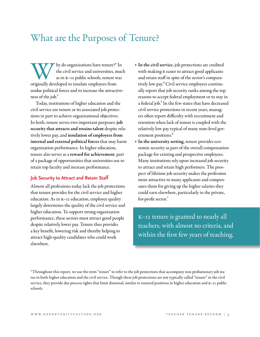# What are the Purposes of Tenure?

W hy do organizations have tenure?\* In the civil service and universities, muc as in K-12 public schools, tenure was originally developed to insulate employees from the civil service and universities, much as in K–12 public schools, tenure was undue political forces and to increase the attractiveness of the job. $3$ 

Today, institutions of higher education and the civil service use tenure or its associated job protections in part to achieve organizational objectives. In both, tenure serves two important purposes: job security that attracts and retains talent despite relatively lower pay, and insulation of employees from internal and external political forces that may harm organization performance. In higher education, tenure also serves as a reward for achievement, part of a package of opportunities that universities use to retain top faculty and increase performance.

#### **Job Security to Attract and Retain Staff**

Almost all professions today lack the job protections that tenure provides for the civil service and higher education. As in K–12 education, employee quality largely determines the quality of the civil service and higher education. To support strong organization performance, these sectors must attract good people despite relatively lower pay. Tenure thus provides a key benefit, lowering risk and thereby helping to attract high-quality candidates who could work elsewhere.

- → In the civil service, job protections are credited with making it easier to attract good applicants and retain staff in spite of the sector's comparatively low pay.4 Civil service employees continually report that job security ranks among the top reasons to accept federal employment or to stay in a federal job.<sup>5</sup> In the few states that have decreased civil service protections in recent years, managers often report difficulty with recruitment and retention when lack of tenure is coupled with the relatively low pay typical of many state-level government positions.<sup>6</sup>
- → In the university setting, tenure provides economic security as part of the overall compensation package for existing and prospective employees. Many institutions rely upon increased job security to attract and retain high performers. The prospect of lifetime job security makes the profession more attractive to many applicants and compensates them for giving up the higher salaries they could earn elsewhere, particularly in the private, for-profit sector.<sup>7</sup>

K–12 tenure is granted to nearly all teachers, with almost no criteria, and within the first few years of teaching.

\* Throughout this report, we use the term "tenure" to refer to the job protections that accompany non-probationary job status in both higher education and the civil service. Though these job protections are not typically called "tenure" in the civil service, they provide due process rights that limit dismissal, similar to tenured positions in higher education and K–12 public schools.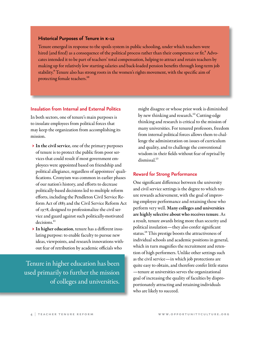#### **Historical Purposes of Tenure in k–12**

Tenure emerged in response to the spoils system in public schooling, under which teachers were hired (and fired) as a consequence of the political process rather than their competence or fit.<sup>8</sup> Advocates intended it to be part of teachers' total compensation, helping to attract and retain teachers by making up for relatively low starting salaries and back-loaded pension benefits through long-term job stability.<sup>9</sup> Tenure also has strong roots in the women's rights movement, with the specific aim of protecting female teachers.<sup>10</sup>

#### **Insulation from Internal and External Politics**

In both sectors, one of tenure's main purposes is to insulate employees from political forces that may keep the organization from accomplishing its mission.

- $\triangleright$  In the civil service, one of the primary purposes of tenure is to protect the public from poor services that could result if most government employees were appointed based on friendship and political allegiance, regardless of appointees' qualifications. Cronyism was common in earlier phases of our nation's history, and efforts to decrease politically-based decisions led to multiple reform efforts, including the Pendleton Civil Service Reform Act of 1883 and the Civil Service Reform Act of 1978, designed to professionalize the civil service and guard against such politically-motivated decisions.<sup>11</sup>
- → In higher education, tenure has a different insulating purpose: to enable faculty to pursue new ideas, viewpoints, and research innovations without fear of retribution by academic officials who

Tenure in higher education has been used primarily to further the mission of colleges and universities.

might disagree or whose prior work is diminished by new thinking and research.<sup>12</sup> Cutting-edge thinking and research is critical to the mission of many universities. For tenured professors, freedom from internal political forces allows them to challenge the administration on issues of curriculum and quality, and to challenge the conventional wisdom in their fields without fear of reprisal by dismissal.<sup>13</sup>

#### **Reward for Strong Performance**

One significant difference between the university and civil service settings is the degree to which tenure rewards achievement, with the goal of improving employee performance and retaining those who perform very well. Many colleges and universities are highly selective about who receives tenure. As a result, tenure awards bring more than security and political insulation — they also confer significant status.<sup>14</sup> This prestige boosts the attractiveness of individual schools and academic positions in general, which in turn magnifies the recruitment and retention of high performers. Unlike other settings such as the civil service — in which job protections are quite easy to obtain, and therefore confer little status — tenure at universities serves the organizational goal of increasing the quality of faculties by disproportionately attracting and retaining individuals who are likely to succeed.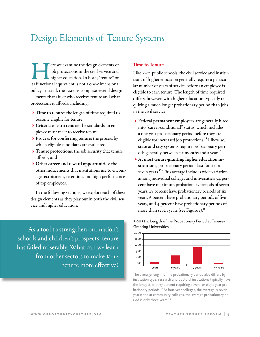# Design Elements of Tenure Systems

Fere we examine the design elements of<br>
job protections in the civil service and<br>
higher education. In both, "tenure" or<br>
its functional equivalent is not a one-dimensional job protections in the civil service and higher education. In both, "tenure" or policy. Instead, the systems comprise several design elements that affect who receives tenure and what protections it affords, including:

- → Time to tenure: the length of time required to become eligible for tenure
- → Criteria to earn tenure: the standards an employee must meet to receive tenure
- → Process for conferring tenure: the process by which eligible candidates are evaluated
- → Tenure protections: the job security that tenure affords, and
- → Other career and reward opportunities: the other inducements that institutions use to encourage recruitment, retention, and high performance of top employees.

In the following sections, we explore each of these design elements as they play out in both the civil service and higher education.

As a tool to strengthen our nation's schools and children's prospects, tenure has failed miserably. What can we learn from other sectors to make K–12 tenure more effective?

#### **Time to Tenure**

Like K–12 public schools, the civil service and institutions of higher education generally require a particular number of years of service before an employee is eligible to earn tenure. The length of time required differs, however, with higher education typically requiring a much longer probationary period than jobs in the civil service.

- → Federal permanent employees are generally hired into "career-conditional" status, which includes a one-year probationary period before they are eligible for increased job protections.<sup>15</sup> Likewise, state and city systems require probationary periods generally between six months and a year.<sup>16</sup>
- → At most tenure-granting higher education institutions, probationary periods last for six or seven years.<sup>17</sup> This average includes wide variation among individual colleges and universities: 54 percent have maximum probationary periods of seven years, 28 percent have probationary periods of six years, 6 percent have probationary periods of five years, and 4 percent have probationary periods of more than seven years (see Figure 1).<sup>18</sup>

FIGURE 1. Length of the Probationary Period at Tenure-Granting Universities



The average length of the probationary period also differs by institution type: research and doctoral institutions typically have the longest, with 77 percent requiring seven- or eight-year probationary periods.<sup>19</sup> At four-year colleges, the average is seven years; and at community colleges, the average probationary period is only three years.<sup>20</sup>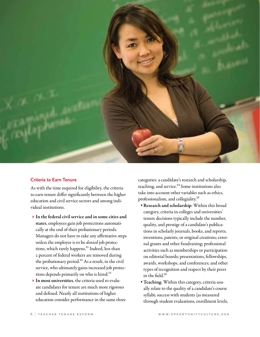

#### **Criteria to Earn Tenure**

As with the time required for eligibility, the criteria to earn tenure differ significantly between the higher education and civil service sectors and among individual institutions.

- $\triangleright$  In the federal civil service and in some cities and states, employees gain job protections automatically at the end of their probationary periods. Managers do not have to take any affirmative steps unless the employee is to be *denied* job protections, which rarely happens.<sup>21</sup> Indeed, less than 2 percent of federal workers are removed during the probationary period.<sup>22</sup> As a result, in the civil service, who ultimately gains increased job protections depends primarily on who is hired.<sup>23</sup>
- → In most universities, the criteria used to evaluate candidates for tenure are much more rigorous and defined. Nearly all institutions of higher education consider performance in the same three

categories: a candidate's research and scholarship, teaching, and service.<sup>24</sup> Some institutions also take into account other variables such as ethics, professionalism, and collegiality.25

- Research and scholarship: Within this broad category, criteria in colleges and universities' tenure decisions typically include the number, quality, and prestige of a candidate's publications in scholarly journals, books, and reports; inventions, patents, or original creations; external grants and other fundraising; professional activities such as memberships or participation on editorial boards; presentations, fellowships, awards, workshops, and conferences; and other types of recognition and respect by their peers in the field. $26$
- Teaching: Within this category, criteria usually relate to the quality of a candidate's course syllabi; success with students (as measured through student evaluations, enrollment levels,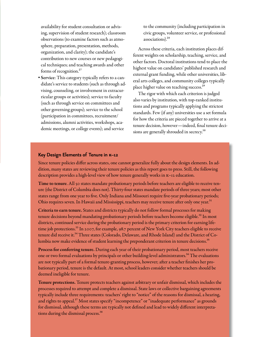availability for student consultation or advising, supervision of student research); classroom observations (to examine factors such as atmosphere, preparation, presentation, methods, organization, and clarity); the candidate's contribution to new courses or new pedagogical techniques; and teaching awards and other forms of recognition.<sup>27</sup>

• Service: This category typically refers to a candidate's service to students (such as through advising, counseling, or involvement in extracurricular groups or activities); service to faculty (such as through service on committees and other governing groups); service to the school (participation in committees, recruitment/ admissions, alumni activities, workshops, academic meetings, or college events); and service

to the community (including participation in civic groups, volunteer service, or professional associations).28

Across these criteria, each institution places different weights on scholarship, teaching, service, and other factors. Doctoral institutions tend to place the highest value on candidates' published research and external grant funding, while other universities, liberal arts colleges, and community colleges typically place higher value on teaching success.29

The rigor with which each criterion is judged also varies by institution, with top-ranked institutions and programs typically applying the strictest standards. Few (if any) universities use a set formula for how the criteria are pieced together to arrive at a tenure decision, however — indeed, final tenure decisions are generally shrouded in secrecy.<sup>30</sup>

#### **Key Design Elements of Tenure in k–12**

Since tenure policies differ across states, one cannot generalize fully about the design elements. In addition, many states are reviewing their tenure policies as this report goes to press. Still, the following description provides a high-level view of how tenure generally works in K–12 education.

Time to tenure. All 50 states mandate probationary periods before teachers are eligible to receive tenure (the District of Columbia does not). Thirty-four states mandate periods of three years; most other states range from one year to five. Only Indiana and Missouri require five-year probationary periods; Ohio requires seven. In Hawaii and Mississippi, teachers may receive tenure after only one year.<sup>31</sup>

Criteria to earn tenure. States and districts typically do not follow formal processes for making tenure decisions beyond mandating probationary periods before teachers become eligible.<sup>32</sup> In most districts, continued service during the probationary period is the primary criterion for earning lifetime job protections.<sup>33</sup> In 2007, for example, 98.7 percent of New York City teachers eligible to receive tenure did receive it.<sup>34</sup> Three states (Colorado, Delaware, and Rhode Island) and the District of Columbia now make evidence of student learning the preponderant criterion in tenure decisions.<sup>35</sup>

Process for conferring tenure. During each year of their probationary period, most teachers receive one or two formal evaluations by principals or other building-level administrators.<sup>36</sup> The evaluations are not typically part of a formal tenure-granting process, however; after a teacher finishes her probationary period, tenure is the default. At most, school leaders consider whether teachers should be deemed ineligible for tenure.

Tenure protections. Tenure protects teachers against arbitrary or unfair dismissal, which includes the processes required to attempt and complete a dismissal. State laws or collective bargaining agreements typically include three requirements: teachers' right to "notice" of the reasons for dismissal, a hearing, and rights to appeal.<sup>37</sup> Most states specify "incompetence" or "inadequate performance" as grounds [for dismissal, although these terms are typically not defined and lead to widely different interpreta](http://www.opportunityculture.org)tions during the dismissal process.<sup>38</sup>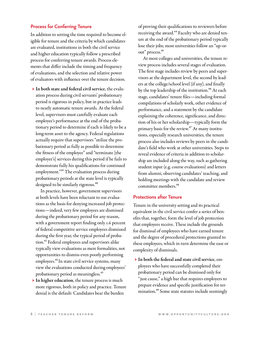#### **Process for Conferring Tenure**

In addition to setting the time required to become eligible for tenure and the criteria by which candidates are evaluated, institutions in both the civil service and higher education typically follow a prescribed process for conferring tenure awards. Process elements that differ include the timing and frequency of evaluations, and the selection and relative power of evaluators with influence over the tenure decision.

 → In both state and federal civil service, the evaluation process during civil servants' probationary period is rigorous in policy, but in practice leads to nearly automatic tenure awards. At the federal level, supervisors must carefully evaluate each employee's performance at the end of the probationary period to determine if each is likely to be a long-term asset to the agency. Federal regulations actually require that supervisors "utilize the probationary period as fully as possible to determine the fitness of the employee" and "terminate [the employee's] services during this period if he fails to demonstrate fully his qualifications for continued employment."39 The evaluation process during probationary periods at the state level is typically designed to be similarly rigorous.<sup>40</sup>

In practice, however, government supervisors at both levels have been reluctant to use evaluations as the basis for denying increased job protections — indeed, very few employees are dismissed during the probationary period for any reason, with a government report finding only 1.6 percent of federal competitive service employees dismissed during the first year, the typical period of probation.41 Federal employees and supervisors alike typically view evaluations as mere formalities, not opportunities to dismiss even poorly performing employees.<sup>42</sup> In state civil service systems, many view the evaluations conducted during employees' probationary period as meaningless.43

 → In higher education, the tenure process is much more rigorous, both in policy and practice. Tenure denial is the default: Candidates bear the burden

of proving their qualifications to reviewers before receiving the award.<sup>44</sup> Faculty who are denied tenure at the end of the probationary period typically lose their jobs; most universities follow an "up-orout" process.<sup>45</sup>

At most colleges and universities, the tenure review process includes several stages of evaluation. The first stage includes review by peers and supervisors at the department level, the second by leaders at the college/school level (if any), and finally by the top leadership of the institution.<sup>46</sup> At each stage, candidates' tenure files — including formal compilations of scholarly work, other evidence of performance, and a statement by the candidate explaining the coherence, significance, and direction of his or her scholarship — typically form the primary basis for the review.<sup>47</sup> At many institutions, especially research universities, the tenure process also includes reviews by peers in the candidate's field who work at other universities. Steps to reveal evidence of criteria in addition to scholarship are included along the way, such as gathering student input (e.g. course evaluations) and letters from alumni, observing candidates' teaching, and holding meetings with the candidate and review committee members.<sup>48</sup>

#### **Protections after Tenure**

Tenure in the university setting and its practical equivalent in the civil service confer a series of benefits that, together, form the level of job protection that employees receive. These include the grounds for dismissal of employees who have earned tenure and the degree of procedural protections granted to these employees, which in turn determine the ease or complexity of dismissals.

 → In both the federal and state civil service, employees who have successfully completed their probationary period can be dismissed only for "just cause," a high bar that requires employers to prepare evidence and specific justification for termination.<sup>49</sup> Some state statutes include seemingly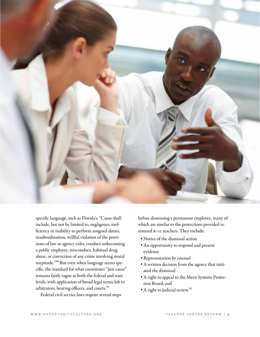

specific language, such as Florida's: "Cause shall include, but not be limited to, negligence, inefficiency or inability to perform assigned duties, insubordination, willful violation of the provisions of law or agency rules, conduct unbecoming a public employee, misconduct, habitual drug abuse, or conviction of any crime involving moral turpitude."50 But even when language seems specific, the standard for what constitutes "just cause" remains fairly vague at both the federal and state levels, with application of broad legal terms left to arbitrators, hearing officers, and courts.<sup>51</sup>

Federal civil service laws require several steps

before dismissing a permanent employee, many of which are similar to the protections provided to tenured K–12 teachers. They include:

- Notice of the dismissal action
- An opportunity to respond and present evidence
- Representation by counsel
- A written decision from the agency that initiated the dismissal
- A right to appeal to the Merit Systems Protection Board, and
- A right to judicial review.<sup>52</sup>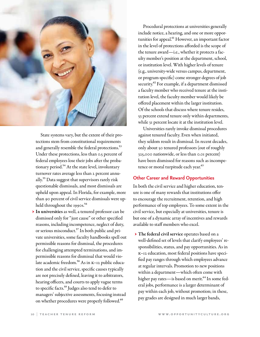

State systems vary, but the extent of their protections stem from constitutional requirements and generally resemble the federal protections.<sup>53</sup> Under these protections, less than 0.5 percent of federal employees lose their jobs after the probationary period.<sup>54</sup> At the state level, involuntary turnover rates average less than 2 percent annually.55 Data suggest that supervisors rarely risk questionable dismissals, and most dismissals are upheld upon appeal. In Florida, for example, more than 90 percent of civil service dismissals were upheld throughout the 1990s.<sup>56</sup>

 → In universities as well, a tenured professor can be dismissed only for "just cause" or other specified reasons, including incompetence, neglect of duty, or serious misconduct.<sup>57</sup> In both public and private universities, some faculty handbooks spell out permissible reasons for dismissal, the procedures for challenging attempted terminations, and impermissible reasons for dismissal that would violate academic freedom.<sup>58</sup> As in K-12 public education and the civil service, specific causes typically are not precisely defined, leaving it to arbitrators, hearing officers, and courts to apply vague terms to specific facts.59 Judges also tend to defer to managers' subjective assessments, focusing instead on whether procedures were properly followed.<sup>60</sup>

 Procedural protections at universities generally include notice, a hearing, and one or more opportunities for appeal.<sup>61</sup> However, an important factor in the level of protections afforded is the scope of the tenure award — i.e., whether it protects a faculty member's position at the department, school, or institution level. With higher levels of tenure (e.g., university-wide versus campus, department, or program-specific) come stronger degrees of job security.<sup>62</sup> For example, if a department dismissed a faculty member who received tenure at the institution level, the faculty member would likely be offered placement within the larger institution. Of the schools that discuss where tenure resides, 53 percent extend tenure only within departments, while 31 percent locate it at the institution level.

 Universities rarely invoke dismissal procedures against tenured faculty. Even when initiated, they seldom result in dismissal. In recent decades, only about 50 tenured professors (out of roughly 325,000 nationwide, or less than 0.01 percent) have been dismissed for reasons such as incompetence or moral turpitude each year.<sup>63</sup>

#### **Other Career and Reward Opportunities**

In both the civil service and higher education, tenure is one of many rewards that institutions offer to encourage the recruitment, retention, and high performance of top employees. To some extent in the civil service, but especially at universities, tenure is but one of a dynamic array of incentives and rewards available to staff members who excel.

 → The federal civil service operates based on a well-defined set of levels that clarify employees' responsibilities, status, and pay opportunities. As in K–12 education, most federal positions have specified pay ranges through which employees advance at regular intervals. Promotion to new positions within a department — which often come with higher pay rates-is based on merit.<sup>64</sup> In some federal jobs, performance is a larger determinant of pay within each job, without promotion; in these, pay grades are designed in much larger bands,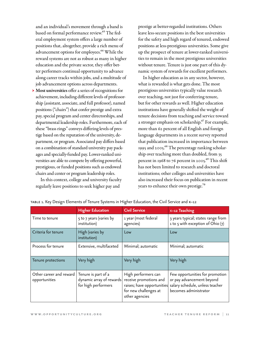and an individual's movement through a band is based on formal performance review.<sup>65</sup> The federal employment system offers a large number of positions that, altogether, provide a rich menu of advancement options for employees.<sup>66</sup> While the reward systems are not as robust as many in higher education and the private sector, they offer better performers continual opportunity to advance along career tracks within jobs, and a multitude of job advancement options across departments.

 → Most universities offer a series of recognitions for achievement, including different levels of professorship (assistant, associate, and full professor), named positions ("chairs") that confer prestige and extra pay, special program and center directorships, and departmental leadership roles. Furthermore, each of these "brass rings" conveys differing levels of prestige based on the reputation of the university, department, or program. Associated pay differs based on a combination of standard university pay packages and specially-funded pay. Lower-ranked universities are able to compete by offering powerful, prestigious, or funded positions such as endowed chairs and center or program leadership roles.

In this context, college and university faculty regularly leave positions to seek higher pay and

prestige at better-regarded institutions. Others leave less-secure positions in the best universities for the safety and high regard of tenured, endowed positions at less-prestigious universities. Some give up the prospect of tenure at lower-ranked universities to remain in the most prestigious universities without tenure. Tenure is just one part of this dynamic system of rewards for excellent performers.

In higher education as in any sector, however, what is rewarded is what gets done. The most prestigious universities typically value research over teaching, not just for conferring tenure, but for other rewards as well. Higher education institutions have generally shifted the weight of tenure decisions from teaching and service toward a stronger emphasis on scholarship.<sup>67</sup> For example, more than 62 percent of all English and foreign language departments in a recent survey reported that publication increased in importance between 1995 and 2005.<sup>68</sup> The percentage ranking scholarship over teaching more than doubled, from 35 percent in 1968 to 76 percent in 2005. $^{69}$  This shift has not been limited to research and doctoral institutions; other colleges and universities have also increased their focus on publication in recent years to enhance their own prestige.<sup>70</sup>

|                                          | <b>Higher Education</b>                                                | <b>Civil Service</b>                                                                                                   | K-12 Teaching                                                                                                            |
|------------------------------------------|------------------------------------------------------------------------|------------------------------------------------------------------------------------------------------------------------|--------------------------------------------------------------------------------------------------------------------------|
| Time to tenure                           | 5 to 7 years (varies by<br>institution)                                | 1 year (most federal<br>agencies)                                                                                      | 3 years typical; states range from<br>1 to 5 with exception of Ohio (7)                                                  |
| Criteria for tenure                      | High (varies by<br>institution)                                        | Low                                                                                                                    | Low                                                                                                                      |
| Process for tenure                       | Extensive, multifaceted                                                | Minimal; automatic                                                                                                     | Minimal; automatic                                                                                                       |
| Tenure protections                       | Very high                                                              | Very high                                                                                                              | Very high                                                                                                                |
| Other career and reward<br>opportunities | Tenure is part of a<br>dynamic array of rewards<br>for high performers | High performers can<br>receive promotions and<br>raises; have opportunities<br>for new challenges at<br>other agencies | Few opportunities for promotion<br>or pay advancement beyond<br>salary schedule, unless teacher<br>becomes administrator |

| тавье 1. Key Design Elements of Tenure Systems in Higher Education, the Civil Service and к–12 |  |  |  |
|------------------------------------------------------------------------------------------------|--|--|--|
|------------------------------------------------------------------------------------------------|--|--|--|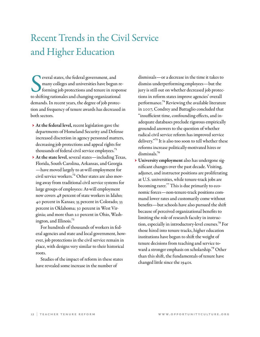# Recent Trends in the Civil Service and Higher Education

Several states, the federal government, and<br>
many colleges and universities have begun re<br>
forming job protections and tenure in response to shifting rationales and changing organizational everal states, the federal government, and many colleges and universities have begun reforming job protections and tenure in response demands. In recent years, the degree of job protection and frequency of tenure awards has decreased in both sectors.

- → At the federal level, recent legislation gave the departments of Homeland Security and Defense increased discretion in agency personnel matters, decreasing job protections and appeal rights for thousands of federal civil service employees.<sup>71</sup>
- → At the state level, several states including Texas, Florida, South Carolina, Arkansas, and Georgia — have moved largely to at-will employment for civil service workers.72 Other states are also moving away from traditional civil service systems for large groups of employees: At-will employment now covers 48 percent of state workers in Idaho; 40 percent in Kansas; 35 percent in Colorado; 33 percent in Oklahoma; 30 percent in West Virginia; and more than 20 percent in Ohio, Washington, and Illinois.<sup>73</sup>

For hundreds of thousands of workers in federal agencies and state and local government, however, job protections in the civil service remain in place, with designs very similar to their historical roots.

Studies of the impact of reform in these states have revealed some increase in the number of

dismissals — or a decrease in the time it takes to dismiss underperforming employees — but the jury is still out on whether decreased job protections in reform states improve agencies' overall performance.<sup>74</sup> Reviewing the available literature in 2007, Condrey and Battaglio concluded that "insufficient time, confounding effects, and inadequate databases preclude rigorous empirically grounded answers to the question of whether radical civil service reform has improved service delivery."75 It is also too soon to tell whether these reforms increase politically-motivated hires or dismissals.76

 → University employment also has undergone significant changes over the past decade. Visiting, adjunct, and instructor positions are proliferating at U.S. universities, while tenure-track jobs are becoming rarer.77 This is due primarily to economic forces — non-tenure-track positions command lower rates and customarily come without benefits — but schools have also pursued the shift because of perceived organizational benefits to limiting the role of research faculty in instruction, especially in introductory-level courses.78 For those hired into tenure tracks, higher education institutions have begun to shift the weight of tenure decisions from teaching and service toward a stronger emphasis on scholarship.<sup>79</sup> Other than this shift, the fundamentals of tenure have changed little since the 1940s.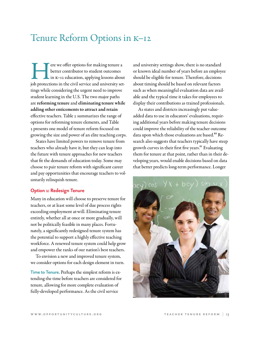## Tenure Reform Options in K–12

Fere we offer options for making tenure a better contributor to student outcomes in K-12 education, applying lessons about job protections in the civil service and university setbetter contributor to student outcomes in K–12 education, applying lessons about tings while considering the urgent need to improve student learning in the U.S. The two major paths are reforming tenure and eliminating tenure while adding other enticements to attract and retain effective teachers. Table 2 summarizes the range of options for reforming tenure elements, and Table 3 presents one model of tenure reform focused on growing the size and power of an elite teaching corps.

States have limited powers to remove tenure from teachers who already have it, but they can leap into the future with tenure approaches for new teachers that fit the demands of education today. Some may choose to pair tenure reform with significant career and pay opportunities that encourage teachers to voluntarily relinquish tenure.

#### **Option 1: Redesign Tenure**

Many in education will choose to preserve tenure for teachers, or at least some level of due process rights exceeding employment at-will. Eliminating tenure entirely, whether all at once or more gradually, will not be politically feasible in many places. Fortunately, a significantly redesigned tenure system has the potential to support a highly effective teaching workforce. A renewed tenure system could help grow and empower the ranks of our nation's best teachers.

To envision a new and improved tenure system, we consider options for each design element in turn.

**Time to Tenure.** Perhaps the simplest reform is extending the time before teachers are considered for tenure, allowing for more complete evaluation of fully-developed performance. As the civil service

and university settings show, there is no standard or known ideal number of years before an employee should be eligible for tenure. Therefore, decisions about timing should be based on relevant factors such as when meaningful evaluation data are available and the typical time it takes for employees to display their contributions as trained professionals.

As states and districts increasingly put valueadded data to use in educators' evaluations, requiring additional years before making tenure decisions could improve the reliability of the teacher outcome data upon which those evaluations are based.<sup>80</sup> Research also suggests that teachers typically have steep growth curves in their first five years.<sup>81</sup> Evaluating them for tenure at that point, rather than in their developing years, would enable decisions based on data that better predicts long-term performance. Longer

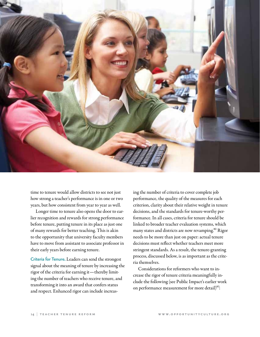

time to tenure would allow districts to see not just how strong a teacher's performance is in one or two years, but how consistent from year to year as well.

Longer time to tenure also opens the door to earlier recognition and rewards for strong performance before tenure, putting tenure in its place as just one of many rewards for better teaching. This is akin to the opportunity that university faculty members have to move from assistant to associate professor in their early years before earning tenure.

**Criteria for Tenure.** Leaders can send the strongest signal about the meaning of tenure by increasing the rigor of the criteria for earning it — thereby limiting the number of teachers who receive tenure, and transforming it into an award that confers status and respect. Enhanced rigor can include increas-

ing the number of criteria to cover complete job performance, the quality of the measures for each criterion, clarity about their relative weight in tenure decisions, and the standards for tenure-worthy performance. In all cases, criteria for tenure should be linked to broader teacher evaluation systems, which many states and districts are now revamping.<sup>82</sup> Rigor needs to be more than just on paper: actual tenure decisions must reflect whether teachers meet more stringent standards. As a result, the tenure-granting process, discussed below, is as important as the criteria themselves.

Considerations for reformers who want to increase the rigor of tenure criteria meaningfully include the following (see Public Impact's earlier work on performance measurement for more detail)<sup>83</sup>: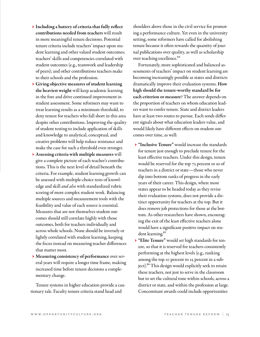- → Including a battery of criteria that fully reflect contributions needed from teachers will result in more meaningful tenure decisions. Potential tenure criteria include teachers' impact upon student learning and other valued student outcomes; teachers' skills and competencies correlated with student outcomes (e.g., teamwork and leadership of peers); and other contributions teachers make to their schools and the profession.
- → Giving objective measures of student learning the heaviest weight will keep academic learning in the fore and drive continued improvement in student assessment. Some reformers may want to treat learning results as a minimum threshold, to deny tenure for teachers who fall short in this area despite other contributions. Improving the quality of student testing to include application of skills and knowledge to analytical, conceptual, and creative problems will help reduce resistance and make the case for such a threshold even stronger.
- → Assessing criteria with multiple measures will give a complete picture of each teacher's contributions. This is the next level of detail beneath the criteria. For example, student learning growth can be assessed with multiple-choice tests of knowledge and skill *and also* with standardized rubric scoring of more complex student work. Balancing multiple sources and measurement tools with the feasibility and value of each source is essential. Measures that are not themselves student outcomes should still correlate highly with those outcomes, both for teachers individually and across whole schools. None should be inversely or lightly correlated with student learning, keeping the focus instead on measuring teacher differences that matter most.
- → Measuring consistency of performance over several years will require a longer time frame, making increased time before tenure decisions a complementary change.

Tenure systems in higher education provide a cautionary tale. Faculty tenure criteria stand head and

shoulders above those in the civil service for promoting a performance culture. Yet even in the university setting, some reformers have called for abolishing tenure because it often rewards the quantity of journal publications over quality, as well as scholarship over teaching excellence.<sup>84</sup>

Fortunately, more sophisticated and balanced assessments of teachers' impact on student learning are becoming increasingly possible as states and districts dramatically improve their evaluation systems. How high should the tenure-worthy standard be for each criterion or measure? The answer depends on the proportion of teachers on whom education leaders want to confer tenure. State and district leaders have at least two routes to pursue. Each sends different signals about what education leaders value, and would likely have different effects on student outcomes over time, as well:

- → "Inclusive Tenure" would increase the standards for tenure just enough to preclude tenure for the least effective teachers. Under this design, tenure would be reserved for the top 75 percent or so of teachers in a district or state — those who never dip into bottom ranks of progress in the early years of their career. This design, where most states appear to be headed today as they revise their evaluation systems, does not provide a distinct opportunity for teachers at the top. But it does remove job protections for those at the bottom. As other researchers have shown, encouraging the exit of the least effective teachers alone would have a significant positive impact on student learning.<sup>85</sup>
- → "Elite Tenure" would set high standards for tenure, so that it is reserved for teachers consistently performing at the highest levels (e.g., ranking among the top 10 percent to 25 percent in a subject).<sup>86</sup> This design would explicitly seek to retain these teachers, not just to serve in the classroom but to set the cultural tone within schools, across a district or state, and within the profession at large. Concomitant awards could include opportunities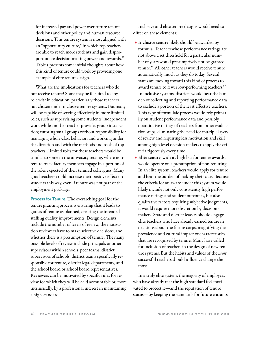for increased pay and power over future tenure decisions and other policy and human resource decisions. This tenure system is most aligned with an "opportunity culture," in which top teachers are able to reach more students and gain disproportionate decision-making power and rewards.<sup>87</sup> Table 3 presents some initial thoughts about how this kind of tenure could work by providing one example of elite tenure design.

What are the implications for teachers who do not receive tenure? Some may be ill-suited to any role within education, particularly those teachers not chosen under inclusive tenure systems. But many will be capable of serving effectively in more limited roles, such as supervising some students' independent work while another teacher provides group instruction; tutoring small groups without responsibility for managing whole-class behavior; and working under the direction and with the methods and tools of top teachers. Limited roles for these teachers would be similar to some in the university setting, where nontenure-track faculty members engage in a portion of the roles expected of their tenured colleagues. Many good teachers could increase their positive effect on students this way, even if tenure was not part of the employment package.

**Process for Tenure.** The overarching goal for the tenure granting process is ensuring that it leads to grants of tenure as planned, creating the intended staffing quality improvements. Design elements include the number of levels of review, the motivation reviewers have to make selective decisions, and whether there is a presumption of tenure. The many possible levels of review include principals or other supervisors within schools, peer teams, district supervisors of schools, district teams specifically responsible for tenure, district legal departments, and the school board or school board representatives. Reviewers can be motivated by specific rules for review for which they will be held accountable or, more intrinsically, by a professional interest in maintaining a high standard.

Inclusive and elite tenure designs would need to differ on these elements:

- → Inclusive tenure likely should be awarded by formula. Teachers whose performance ratings are not above a set threshold for a particular number of years would presumptively not be granted tenure.<sup>88</sup> All other teachers would receive tenure automatically, much as they do today. Several states are moving toward this kind of process to award tenure to fewer low-performing teachers.<sup>89</sup> In inclusive systems, districts would bear the burden of collecting and reporting performance data to exclude a portion of the least effective teachers. This type of formulaic process would rely primarily on student performance data and possibly quantitative ratings of teachers from other evaluation steps, eliminating the need for multiple layers of review and requiring less motivation and skill among high-level decision-makers to apply the criteria rigorously every time.
- → Elite tenure, with its high bar for tenure awards, would operate on a presumption of non-tenuring. In an elite system, teachers would apply for tenure and bear the burden of making their case. Because the criteria for an award under this system would likely include not only consistently high performance ratings and student outcomes, but also qualitative factors requiring subjective judgments, it would require more discretion by decisionmakers. State and district leaders should engage elite teachers who have already earned tenure in decisions about the future corps, magnifying the prevalence and cultural impact of characteristics that are recognized by tenure. Many have called for inclusion of teachers in the design of new tenure systems. But the habits and values of the *most* successful teachers should influence change the most.

In a truly elite system, the majority of employees who have already met the high standard feel motivated to protect it — and the reputation of tenure status — by keeping the standards for future entrants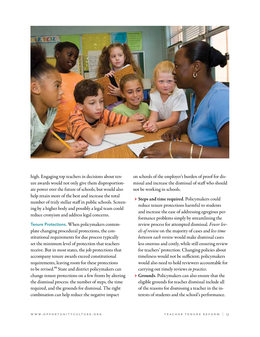

high. Engaging top teachers in decisions about tenure awards would not only give them disproportionate power over the future of schools, but would also help retain more of the best and increase the total number of truly stellar staff in public schools. Screening by a higher body and possibly a legal team could reduce cronyism and address legal concerns.

**Tenure Protections.** When policymakers contemplate changing procedural protections, the constitutional requirements for due process typically set the minimum level of protection that teachers receive. But in most states, the job protections that accompany tenure awards exceed constitutional requirements, leaving room for these protections to be revised.<sup>90</sup> State and district policymakers can change tenure protections on a few fronts by altering the dismissal process: the number of steps, the time required, and the grounds for dismissal. The right combination can help reduce the negative impact

on schools of the employer's burden of proof for dismissal and increase the dismissal of staff who should not be working in schools.

- → Steps and time required. Policymakers could reduce tenure protections harmful to students and increase the ease of addressing egregious performance problems simply by streamlining the review process for attempted dismissal. *Fewer levels of review* on the majority of cases and *less time between each review* would make dismissal cases less onerous and costly, while still ensuring review for teachers' protection. Changing policies about timeliness would not be sufficient; policymakers would also need to hold reviewers accountable for carrying out timely reviews *in practice*.
- → Grounds. Policymakers can also ensure that the eligible grounds for teacher dismissal include all of the reasons for dismissing a teacher in the interests of students and the school's performance.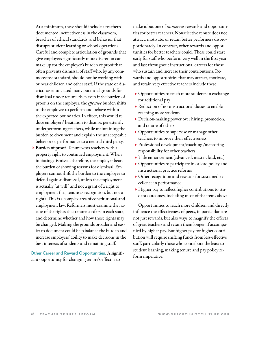At a minimum, these should include a teacher's documented ineffectiveness in the classroom, breaches of ethical standards, and behavior that disrupts student learning or school operations. Careful and complete articulation of grounds that give employers significantly more discretion can make up for the employer's burden of proof that often prevents dismissal of staff who, by any commonsense standard, should not be working with or near children and other staff. If the state or district has enunciated many potential grounds for dismissal under tenure, then even if the burden of proof is on the employer, the *effective* burden shifts to the employee to perform and behave within the expected boundaries. In effect, this would reduce employers' hesitation to dismiss persistently underperforming teachers, while maintaining the burden to document and explain the unacceptable behavior or performance to a neutral third party.

 → Burden of proof. Tenure vests teachers with a property right to continued employment. When initiating dismissal, therefore, the employer bears the burden of showing reasons for dismissal. Employers cannot shift the burden to the employee to defend against dismissal, unless the employment is actually "at will" and not a grant of a right to employment (i.e., tenure as recognition, but not a right). This is a complex area of constitutional and employment law. Reformers must examine the nature of the rights that tenure confers in each state, and determine whether and how those rights may be changed. Making the grounds broader and easier to document could help balance the burden and increase employers' ability to make decisions in the best interests of students and remaining staff.

**Other Career and Reward Opportunities.** A significant opportunity for changing tenure's effect is to

make it but one of *numerous* rewards and opportunities for better teachers. Nonselective tenure does not attract, motivate, or retain better performers disproportionately. In contrast, other rewards and opportunities for better teachers could. These could start early for staff who perform very well in the first year and last throughout instructional careers for those who sustain and increase their contributions. Rewards and opportunities that may attract, motivate, and retain very effective teachers include these:

- → Opportunities to teach more students in exchange for additional pay
- → Reduction of noninstructional duties to enable reaching more students
- → Decision-making power over hiring, promotion, and tenure of others
- → Opportunities to supervise or manage other teachers to improve their effectiveness
- → Professional development/coaching /mentoring responsibility for other teachers
- → Title enhancement (advanced, master, lead, etc.)
- → Opportunities to participate in or lead policy and instructional practice reforms
- → Other recognition and rewards for sustained excellence in performance
- → Higher pay to reflect higher contributions to student outcomes, including most of the items above

Opportunities to reach more children and directly influence the effectiveness of peers, in particular, are not just rewards, but also ways to magnify the effects of great teachers and retain them longer, if accompanied by higher pay. But higher pay for higher contribution will require shifting funds from less-effective staff, particularly those who contribute the least to student learning, making tenure and pay policy reform imperative.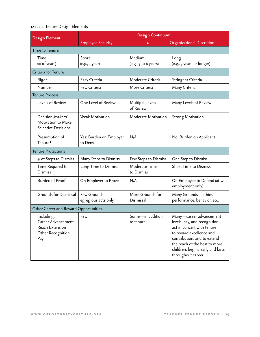### table 2. Tenure Design Elements

| <b>Design Element</b>                                                           | <b>Design Continuum</b>             |                                |                                                                                                                                                                                                                                            |  |
|---------------------------------------------------------------------------------|-------------------------------------|--------------------------------|--------------------------------------------------------------------------------------------------------------------------------------------------------------------------------------------------------------------------------------------|--|
|                                                                                 | <b>Employee Security</b>            |                                | Organizational Discretion                                                                                                                                                                                                                  |  |
| Time to Tenure                                                                  |                                     |                                |                                                                                                                                                                                                                                            |  |
| Time<br>(# of years)                                                            | Short<br>(e.g., 1 year)             | Medium<br>(e.g., 3 to 6 years) | Long<br>(e.g., 7 years or longer)                                                                                                                                                                                                          |  |
| Criteria for Tenure                                                             |                                     |                                |                                                                                                                                                                                                                                            |  |
| Rigor                                                                           | Easy Criteria                       | Moderate Criteria              | Stringent Criteria                                                                                                                                                                                                                         |  |
| Number                                                                          | Few Criteria                        | More Criteria                  | Many Criteria                                                                                                                                                                                                                              |  |
| <b>Tenure Process</b>                                                           |                                     |                                |                                                                                                                                                                                                                                            |  |
| Levels of Review                                                                | One Level of Review                 | Multiple Levels<br>of Review   | Many Levels of Review                                                                                                                                                                                                                      |  |
| Decision-Makers'<br>Motivation to Make<br>Selective Decisions                   | Weak Motivation                     | Moderate Motivation            | <b>Strong Motivation</b>                                                                                                                                                                                                                   |  |
| Presumption of<br>Tenure?                                                       | Yes: Burden on Employer<br>to Deny  | N/A                            | No: Burden on Applicant                                                                                                                                                                                                                    |  |
| <b>Tenure Protections</b>                                                       |                                     |                                |                                                                                                                                                                                                                                            |  |
| # of Steps to Dismiss                                                           | Many Steps to Dismiss               | Few Steps to Dismiss           | One Step to Dismiss                                                                                                                                                                                                                        |  |
| Time Required to<br><b>Dismiss</b>                                              | Long Time to Dismiss                | Moderate Time<br>to Dismiss    | Short Time to Dismiss                                                                                                                                                                                                                      |  |
| <b>Burden of Proof</b>                                                          | On Employer to Prove                | N/A                            | On Employee to Defend (at-will<br>employment only)                                                                                                                                                                                         |  |
| Grounds for Dismissal                                                           | Few Grounds-<br>egregious acts only | More Grounds for<br>Dismissal  | Many Grounds-ethics,<br>performance, behavior, etc.                                                                                                                                                                                        |  |
| Other Career and Reward Opportunities                                           |                                     |                                |                                                                                                                                                                                                                                            |  |
| Including:<br>Career Advancement<br>Reach Extension<br>Other Recognition<br>Pay | Few                                 | Some-in addition<br>to tenure  | Many-career advancement<br>levels, pay, and recognition<br>act in concert with tenure<br>to reward excellence and<br>contribution, and to extend<br>the reach of the best to more<br>children; begins early and lasts<br>throughout career |  |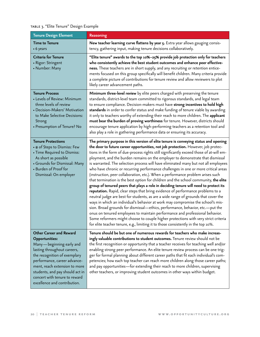### table 3. "Elite Tenure" Design Example

| <b>Tenure Design Element</b>                                                                                                                                                                                                                                                                                            | <b>Reasoning</b>                                                                                                                                                                                                                                                                                                                                                                                                                                                                                                                                                                                                                                                                                                                                                                                                                                                                                                                                                                                                                                                                                                                                                                                                                                                                                                                                                                                              |
|-------------------------------------------------------------------------------------------------------------------------------------------------------------------------------------------------------------------------------------------------------------------------------------------------------------------------|---------------------------------------------------------------------------------------------------------------------------------------------------------------------------------------------------------------------------------------------------------------------------------------------------------------------------------------------------------------------------------------------------------------------------------------------------------------------------------------------------------------------------------------------------------------------------------------------------------------------------------------------------------------------------------------------------------------------------------------------------------------------------------------------------------------------------------------------------------------------------------------------------------------------------------------------------------------------------------------------------------------------------------------------------------------------------------------------------------------------------------------------------------------------------------------------------------------------------------------------------------------------------------------------------------------------------------------------------------------------------------------------------------------|
| <b>Time to Tenure</b><br>• 6 years                                                                                                                                                                                                                                                                                      | New teacher learning curve flattens by year 5. Extra year allows gauging consis-<br>tency, gathering input, making tenure decisions collaboratively.                                                                                                                                                                                                                                                                                                                                                                                                                                                                                                                                                                                                                                                                                                                                                                                                                                                                                                                                                                                                                                                                                                                                                                                                                                                          |
| <b>Criteria for Tenure</b><br>• Rigor: Stringent<br>• Number: Many                                                                                                                                                                                                                                                      | "Elite tenure" awards to the top 10%-25% provide job protection only for teachers<br>who consistently achieve the best student outcomes and enhance peer effective-<br>ness. These teachers are in short supply, and any recruiting or retention entice-<br>ments focused on this group specifically will benefit children. Many criteria provide<br>a complete picture of contributions for tenure review and allow reviewers to plot<br>likely career advancement paths.                                                                                                                                                                                                                                                                                                                                                                                                                                                                                                                                                                                                                                                                                                                                                                                                                                                                                                                                    |
| <b>Tenure Process</b><br>• Levels of Review: Minimum<br>three levels of review<br>• Decision-Makers' Motivation<br>to Make Selective Decisions:<br>Strong<br>• Presumption of Tenure? No                                                                                                                                | Minimum three-level review by elite peers charged with preserving the tenure<br>standards, district-level team committed to rigorous standards, and legal team<br>to ensure compliance. Decision-makers must have strong incentives to hold high<br>standards in order to confer status and make funding of tenure viable by awarding<br>it only to teachers worthy of extending their reach to more children. The applicant<br>must bear the burden of proving worthiness for tenure. However, districts should<br>encourage tenure application by high-performing teachers as a retention tool and<br>also play a role in gathering performance data or ensuring its accuracy.                                                                                                                                                                                                                                                                                                                                                                                                                                                                                                                                                                                                                                                                                                                              |
| <b>Tenure Protections</b><br>$\bm{\cdot}$ # of Steps to Dismiss: Few<br>• Time Required to Dismiss:<br>As short as possible<br>• Grounds for Dismissal: Many<br>• Burden of Proof for<br>Dismissal: On employer                                                                                                         | The primary purpose in this version of elite tenure is conveying status and opening<br>the door to future career opportunities, not job protection. However, job protec-<br>tions in the form of due-process rights still significantly exceed those of at-will em-<br>ployment, and the burden remains on the employer to demonstrate that dismissal<br>is warranted. The selection process will have eliminated many but not all employees<br>who have chronic or recurring performance challenges in one or more critical areas<br>(instruction, peer collaboration, etc.). When a performance problem arises such<br>that termination is the best option for children and the school community, the elite<br>group of tenured peers that plays a role in deciding tenure will need to protect its<br>reputation. Rapid, clear steps that bring evidence of performance problems to a<br>neutral judge are best for students, as are a wide range of grounds that cover the<br>ways in which an individual's behavior at work may compromise the school's mis-<br>sion. Broad grounds for dismissal—ethics, performance, behavior, etc.—put the<br>onus on tenured employees to maintain performance and professional behavior.<br>Some reformers might choose to couple higher protections with very strict criteria<br>for elite teacher tenure, e.g., limiting it to those consistently in the top 10%. |
| <b>Other Career and Reward</b><br><b>Opportunities:</b><br>Many—beginning early and<br>lasting throughout careers,<br>the recognition of exemplary<br>performance, career advance-<br>ment, reach extension to more<br>students, and pay should act in<br>concert with tenure to reward<br>excellence and contribution. | Tenure should be but one of numerous rewards for teachers who make increas-<br>ingly valuable contributions to student outcomes. Tenure review should not be<br>the first recognition or opportunity that a teacher receives for teaching well and/or<br>enabling strong peer performance. An elite tenure review process can be one trig-<br>ger for formal planning about different career paths that fit each individual's com-<br>petencies; how each top teacher can reach more children along those career paths;<br>and pay opportunities—for extending their reach to more children, supervising<br>other teachers, or improving student outcomes in other ways within budget.                                                                                                                                                                                                                                                                                                                                                                                                                                                                                                                                                                                                                                                                                                                        |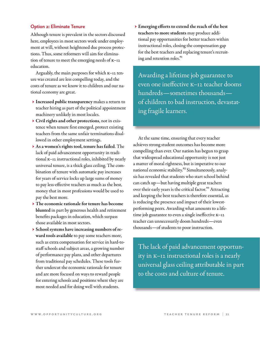#### **Option 2: Eliminate Tenure**

Although tenure is prevalent in the sectors discussed here, employees in most sectors work under employment at will, without heightened due process protections. Thus, some reformers will aim for elimination of tenure to meet the emerging needs of K–12 education.

Arguably, the main purposes for which K–12 tenure was created are less compelling today, and the costs of tenure as we know it to children and our national economy are great.

- → Increased public transparency makes a return to teacher hiring as part of the political appointment machinery unlikely in most locales.
- → Civil rights and other protections, not in existence when tenure first emerged, protect existing teachers from the same unfair terminations disallowed in other employment settings.
- → As a women's rights tool, tenure has failed. The lack of paid advancement opportunity in traditional K–12 instructional roles, inhibited by nearly universal tenure, is a thick glass ceiling. The combination of tenure with automatic pay increases for years of service locks up large sums of money to pay less-effective teachers as much as the best, money that in most professions would be used to pay the best more.
- → The economic rationale for tenure has become blunted in part by generous health and retirement benefits packages in education, which surpass those available in most sectors.
- → School systems have increasing numbers of reward tools available to pay some teachers more, such as extra compensation for service in hard-tostaff schools and subject areas, a growing number of performance pay plans, and other departures from traditional pay schedules. These tools further undercut the economic rationale for tenure and are more focused on ways to reward people for entering schools and positions where they are most needed and for doing well with students.

 → Emerging efforts to extend the reach of the best teachers to more students may produce additional pay opportunities for better teachers within instructional roles, closing the compensation gap for the best teachers and replacing tenure's recruiting and retention roles.<sup>91</sup>

Awarding a lifetime job guarantee to even one ineffective K–12 teacher dooms hundreds — sometimes thousands of children to bad instruction, devastating fragile learners.

At the same time, ensuring that every teacher achieves strong student outcomes has become more compelling than ever. Our nation has begun to grasp that widespread educational opportunity is not just a matter of moral rightness, but is imperative to our national economic stability.<sup>92</sup> Simultaneously, analysis has revealed that students who start school behind can catch up — but having multiple great teachers over their early years is the critical factor.<sup>93</sup> Attracting and keeping the best teachers is therefore essential, as is reducing the presence and impact of their lowestperforming peers. Awarding what amounts to a lifetime job guarantee to even a single ineffective K–12 teacher can unnecessarily doom hundreds — even thousands — of students to poor instruction.

The lack of paid advancement opportunity in K–12 instructional roles is a nearly universal glass ceiling attributable in part to the costs and culture of tenure.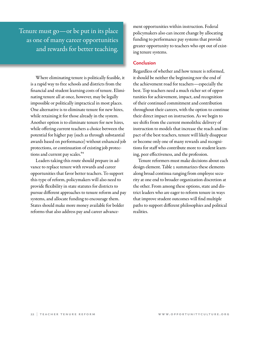Tenure must go—or be put in its place as one of many career opportunities and rewards for better teaching.

> Where eliminating tenure is politically feasible, it is a rapid way to free schools and districts from the financial and student learning costs of tenure. Eliminating tenure all at once, however, may be legally impossible or politically impractical in most places. One alternative is to eliminate tenure for new hires, while retaining it for those already in the system. Another option is to eliminate tenure for new hires, while offering current teachers a choice between the potential for higher pay (such as through substantial awards based on performance) without enhanced job protections, or continuation of existing job protections and current pay scales.<sup>94</sup>

> Leaders taking this route should prepare in advance to replace tenure with rewards and career opportunities that favor better teachers. To support this type of reform, policymakers will also need to provide flexibility in state statutes for districts to pursue different approaches to tenure reform and pay systems, and allocate funding to encourage them. States should make more money available for bolder reforms that also address pay and career advance-

ment opportunities within instruction. Federal policymakers also can incent change by allocating funding to performance pay systems that provide greater opportunity to teachers who opt out of existing tenure systems.

#### **Conclusion**

Regardless of whether and how tenure is reformed, it should be neither the beginning nor the end of the achievement road for teachers — especially the best. Top teachers need a much richer set of opportunities for achievement, impact, and recognition of their continued commitment and contribution throughout their careers, with the option to continue their direct impact on instruction. As we begin to see shifts from the current monolithic delivery of instruction to models that increase the reach and impact of the best teachers, tenure will likely disappear or become only one of many rewards and recognitions for staff who contribute more to student learning, peer effectiveness, and the profession.

Tenure reformers must make decisions about each design element. Table 2 summarizes these elements along broad continua ranging from employee security at one end to broader organization discretion at the other. From among these options, state and district leaders who are eager to reform tenure in ways that improve student outcomes will find multiple paths to support different philosophies and political realities.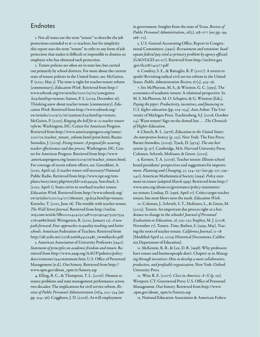### Endnotes

1. Not all states use the term "tenure" to describe the job protections extended to K–12 teachers, but for simplicity this report uses the term "tenure" to refer to any form of job protection that makes it difficult or impossible to dismiss an employee who has obtained such protection.

2. Tenure policies are often set in state law, but carried out primarily by school districts. For more about the current state of tenure policies in the United States, see: McGuinn, P. (2010, May 3). The time is right for teacher-tenure reform [commentary]. *Education Week.* Retrieved from [http://](http://www.edweek.org/ew/articles/2010/05/03/31mcguinn.h29.html?qs=tenure) [www.edweek.org/ew/articles/2010/05/03/31mcguinn](http://www.edweek.org/ew/articles/2010/05/03/31mcguinn.h29.html?qs=tenure) [.h29.html?qs=tenure;](http://www.edweek.org/ew/articles/2010/05/03/31mcguinn.h29.html?qs=tenure) Sutton, P. S. (2009, December 16). Thinking anew about teacher tenure [commentary]. *Education Week*. Retrieved from [http://www.edweek.org/](http://www.edweek.org/ew/articles/2009/12/16/15sutton.h29.html?qs=tenure) [ew/articles/2009/12/16/15sutton.h29.html?qs=tenure;](http://www.edweek.org/ew/articles/2009/12/16/15sutton.h29.html?qs=tenure) McGuinn, P. (2010). *Ringing the bell for K*–*12 teacher tenure reform*. Washington, DC: Center for American Progress. Retrieved from [http://www.americanprogress.org/issues/](http://www.americanprogress.org/issues/2010/02/teacher_tenure_reform.html/print.html) [2010/02/teacher\\_tenure\\_reform.html/print.html;](http://www.americanprogress.org/issues/2010/02/teacher_tenure_reform.html/print.html) Baratz-Snowden, J. (2009). *Fixing tenure: A proposal for assuring teacher effectiveness and due process*. Washington, DC: Center for American Progress. Retrieved from [http://www](http://www.americanprogress.org/issues/2009/06/teacher_tenure.html) [.americanprogress.org/issues/2009/06/teacher\\_tenure.html.](http://www.americanprogress.org/issues/2009/06/teacher_tenure.html) For coverage of recent reform efforts, see: Greenblatt, A. (2010, April 29). *Is teacher tenure still necessary?* National Public Radio. Retrieved from [http://www.npr.org/tem](http://www.npr.org/templates/story/story.php?storyId=126349435)[plates/story/story.php?storyId=126349435;](http://www.npr.org/templates/story/story.php?storyId=126349435) Sawchuck, S. (2010, April 7). States strive to overhaul teacher tenure. *Education Week*. Retrieved from [http://www.edweek.org/](http://www.edweek.org/ew/articles/2010/04/07/28tenure_ep.h29.html?qs=tenure) [ew/articles/2010/04/07/28tenure\\_ep.h29.html?qs=tenure;](http://www.edweek.org/ew/articles/2010/04/07/28tenure_ep.h29.html?qs=tenure) Knowles, T. (2010, June 18). The trouble with teacher tenure. *The Wall Street Journal*. Retrieved from [http://online](http://online.wsj.com/article/SB10001424052748703303904575292753427609686.html) [.wsj.com/article/SB100014240527487033039045752927534](http://online.wsj.com/article/SB10001424052748703303904575292753427609686.html) [27609686.html](http://online.wsj.com/article/SB10001424052748703303904575292753427609686.html); Weingarten, R. (2010, January 12). *A new path forward: Four approaches to quality teaching and better schools*. American Federation of Teachers. Retrieved from [http://aft.3cdn.net/227d12e668432ca48e\\_twm6b90k1.pdf.](http://aft.3cdn.net/227d12e668432ca48e_twm6b90k1.pdf)

3. American Association of University Professors (1940). *Statement of principles on academic freedom and tenure*. Retrieved from [http://www.aaup.org/AAUP/pubsres/policy](http://www.aaup.org/AAUP/pubsres/policydocs/contents/1940statement.htm)[docs/contents/1940statement.htm;](http://www.aaup.org/AAUP/pubsres/policydocs/contents/1940statement.htm) U.S. Office of Personnel Management (n.d.). Our history. Retrieved from [http://](http://www.opm.gov/about_opm/tr/history.asp) [www.opm.gov/about\\_opm/tr/history.asp](http://www.opm.gov/about_opm/tr/history.asp)

4. Elling, R. C., & Thompson, T. L. (2006). Human resource problems and state management performance across two decades: The implications for civil service reform. *Review of Public Personnel Administration (26)*4, 302–334 (see pp. 324–36); Coggburn, J. D. (2006). At-will employment

in government: Insights from the state of Texas. *Review of Public Personnel Administration, 26*(2), 158–177 (see pp. 159,  $168 - 70$ ).

5. U.S. General Accounting Office, Report to Congressional Committees. (1990). *Recruitment and retention: Inadequate federal pay cited as primary problem by agency officials* (GAO/GGD-90-117). Retrieved from [http://archive.gao](http://archive.gao.gov/d22t8/142377.pdf) [.gov/d22t8/142377.pdf](http://archive.gao.gov/d22t8/142377.pdf)

6. Condrey, S. E., & Battaglio, R. P. (2007). A return to spoils? Revisiting radical civil service reform in the United States. *Public Administration Review*, *67*(3), 425–36.

7. See McPherson, M. S., & Winston, G. C. (1993). The economics of academic tenure: A relational perspective. In M. S. McPherson, M. O. Schapiro, & G. Winston (Eds.), *Paying the piper: Productivity, incentives, and financing in U.S. higher education (*pp. 109–134)*.* Ann Arbor: The University of Michigan Press; Trachtenberg, S.J. (2008, October 24). Want tenure? Sign on the dotted line . . . *The Chronicle of Higher Education*.

8. Church, R. L. (1976). *Education in the United States: An interpretive history* (p. 232). New York: The Free Press; Baratz-Snowden. (2009); Tyack, D. (1974). *The one best system* (p. 97). Cambridge, MA: Harvard University Press; Coleman, Schroth, Molinaro, & Green. (2005).

9. Kersten, T. A. (2006). Teacher tenure: Illinois school board presidents' perspectives and suggestions for improvement. *Planning and Changing, 37,* 234–257 (see pp. 237, 239– 240); American Mathematical Society (1999). *Policy statement on tenure (adopted March 1999)*. Retrieved from [http://](http://www.ams.org/about-us/governance/policy-statements/sec) [www.ams.org/about-us/governance/policy-statements/](http://www.ams.org/about-us/governance/policy-statements/sec) [sec](http://www.ams.org/about-us/governance/policy-statements/sec)-tenure; Lindsay, D. (1996, April 17). Critics target teacher tenure, but most blows miss the mark. *Education Week*.

10. Coleman, J., Schroth, S. T., Molinaro, L., & Green, M. (2005). Tenure: An important due process right or a hindrance to change in the schools? *Journal of Personnel Evaluation in Education, 18*, 219–231; Stephey, M. J. (2008, November 17). Tenure. *Time*; Bathen, S. (1999, May). Tracing the roots of teacher tenure. *California Journal*, 11–18 [Modified April 22, 2009; Historical Documents, California Department of Education].

11. McKenzie, R. B., & Lee, D. R. (1998). Why professors have tenure and businesspeople don't. Chapter 19 in *Managing through incentives: How to develop a more collaborative, productive, and profitable organization*. New York: Oxford University Press.

12. Weir, R. E. (2007). *Class in America: A–G (*p. 131). Westport, CT: Greenwood Press; U.S. Office of Personnel Management. Our history. Retrieved from [http://www](http://www.opm.gov/about_opm/tr/history.asp) [.opm.gov/about\\_opm/tr/history.asp](http://www.opm.gov/about_opm/tr/history.asp)

13. National Education Association & American Federa-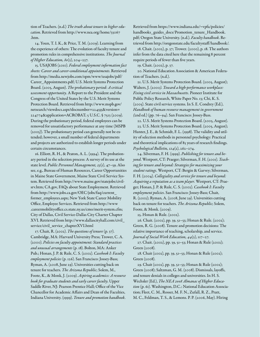tion of Teachers. (n.d.) *The truth about tenure in higher education*. Retrieved from [http://www.nea.org/home/33067](http://www.nea.org/home/33067.htm) [.htm](http://www.nea.org/home/33067.htm).

14. Youn, T. I. K., & Price, T. M. (2009). Learning from the experience of others: The evolution of faculty tenure and promotion rules in comprehensive institutions. *The Journal of Higher Education, 80*(2), 204–237.

15. USAJOBS (2010). *Federal employment information fact sheets: Career and careerconditional appointments*. Retrieved from [http://media.newjobs.com/opm/www/usajobs/pdf/](http://media.newjobs.com/opm/www/usajobs/pdf/Career_Appointments.pdf) [Career\\_Appointments.pdf](http://media.newjobs.com/opm/www/usajobs/pdf/Career_Appointments.pdf); U.S. Merit Systems Protection Board. (2005, August). *The* p*robationary* p*eriod: A* c*ritical*  a*ssessment* o*pportunity.* A Report to the President and the Congress of the United States by the U.S. Merit Systems Protection Board. Retrieved from [http://www.mspb.gov/](http://www.mspb.gov/netsearch/viewdocs.aspx?docnumber=224555&version=224774&application=ACROBAT) [netsearch/viewdocs.aspx?docnumber=224555&version=](http://www.mspb.gov/netsearch/viewdocs.aspx?docnumber=224555&version=224774&application=ACROBAT) [224774&application=ACROBAT;](http://www.mspb.gov/netsearch/viewdocs.aspx?docnumber=224555&version=224774&application=ACROBAT) 5 U.S.C. § 7513 (2009). During the probationary period, federal employees can be removed for unsatisfactory performance at any time (MSPB (2005)). The probationary period can generally not be extended; however, a small number of federal departments and projects are authorized to establish longer periods under certain circumstances.

16. Elliott, R. H., & Peaton, A. L. (1994). The probationary period in the selection process: A survey of its use at the state level. *Public Personnel Management, 23*(1), 47–59. Also see, e.g., Bureau of Human Resources, Career Opportunities in Maine State Government, Maine State Civil Service System. Retrieved from [http://www.maine.gov/statejobs/civil](http://www.maine.gov/statejobs/civilsrv.htm)[srv.htm;](http://www.maine.gov/statejobs/civilsrv.htm)<CA.gov>, FAQs about State Employment. Retrieved from [http://www.jobs.ca.gov/OEC/jobs/faq/current\\_](http://www.jobs.ca.gov/OEC/jobs/faq/current_former_employees.aspx) [former\\_employees.aspx;](http://www.jobs.ca.gov/OEC/jobs/faq/current_former_employees.aspx) New York State Career Mobility Office, Employee Services. Retrieved from [http://www](http://www.careermobilityoffice.cs.state.ny.us/cmo/merit-system.cfm) [.careermobilityoffice.cs.state.ny.us/cmo/merit-system.cfm](http://www.careermobilityoffice.cs.state.ny.us/cmo/merit-system.cfm); City of Dallas, Civil Service-Dallas City Charter Chapter XVI. Retrieved from [http://www.dallascityhall.com/civil\\_](http://www.dallascityhall.com/civil_service/civil_service_chapterXVI.html) [service/civil\\_service\\_chapterXVI.html](http://www.dallascityhall.com/civil_service/civil_service_chapterXVI.html)

17. Chait, R. (2002). *The questions of tenure* (p. 37). Cambridge, MA: Harvard University Press; Trower, C. A. (2000). *Policies on faculty appointment: Standard practices and unusual arrangements* (p. 18). Bolton, MA: Anker Pub.; Honan, J. P. & Rule, C. S. (2002). *Casebook I: Faculty employment policies* (p. 126). San Francisco: Jossey-Bass; Ryman, A. (2008, June 29). Universities cutting back on tenure for teachers. *The Arizona Republic*; Solem, M., Foote, K., & Monk, J. (2009). *Aspiring academics: A resource book for graduate students and early career faculty*. Upper Saddle River, NJ: Pearson Prentice Hall; Office of the Vice Chancellor for Academic Affairs and Dean of the Faculties, Indiana University. (1999). *Tenure and promotion handbook*.

Retrieved from [https://www.indiana.edu/~vpfa/policies/](https://www.indiana.edu/~vpfa/policies/handbooks_guides_docs/Promotion_tenure_Handbook.pdf) [handbooks\\_guides\\_docs/Promotion\\_tenure\\_Handbook.](https://www.indiana.edu/~vpfa/policies/handbooks_guides_docs/Promotion_tenure_Handbook.pdf) [pdf;](https://www.indiana.edu/~vpfa/policies/handbooks_guides_docs/Promotion_tenure_Handbook.pdf) Oregon State University. (n.d.). *Faculty handbook*. Retrieved from<http://oregonstate.edu/facultystaff/handbook>/.

18. Chait. (2002), p. 37; Trower. (2000), p. 18. The authors infer from the data cited here that the remaining 8 percent require periods of fewer than five years.

19. Chait. (2002), p. 37.

20. National Education Association & American Federation of Teachers. (n.d.).

21. U.S. Merit Systems Protection Board. (2005, August); Walters, J. (2000). Toward a high-performance workplace: *Fixing civil service in Massachusetts.* Pioneer Institute for Public Policy Research, White Paper No. 13; Chi, K. S. (2005). State civil service systems. In S. E. Condrey (Ed.), *Handbook of human resource management in government (*2nd ed.) (pp. 76–94). San Francisco: Jossey-Bass.

22. U.S. Merit Systems Protection Board. (2005, August). 23. U.S. Merit Systems Protection Board. (2005, August); Hunter, J. E., & Schmidt, F. L. (1998). The validity and utility of selection methods in personnel psychology: Practical and theoretical implications of 85 years of research findings. *Psychological Bulletin, 124*(2), 262–274.

24. Silverman, F. H. (1999). *Publishing for tenure and beyond*. Westport, CT: Praeger; Silverman, F. H. (2001). *Teaching for tenure and beyond: Strategies for maximizing your student ratings.* Westport, CT: Bergin & Garvey; Silverman, F. H. (2004). *Collegiality and service for tenure and beyond: Acquiring a reputation as a team player.* Westport, CT: Praeger; Honan, J. P. & Rule, C. S. (2002). *Casebook I: Faculty employment policies*. San Francisco: Jossey-Bass; Chait, R. (2002); Ryman, A. (2008, June 29). Universities cutting back on tenure for teachers. *The Arizona Republic*; Solem, Foote, & Monk. (2009).

25. Honan & Rule. (2002).

26. Chait. (2002), pp. 39, 51–53; Honan & Rule. (2002); Green, R. G. (2008). Tenure and promotion decisions: The relative importance of teaching, scholarship, and service. *Journal of Social Work Education, 44*(2), 117–27.

27. Chait. (2002), pp. 39, 51–53; Honan & Rule (2002); Green (2008).

28. Chait (2002), pp. 39, 51–53; Honan & Rule (2002); Green (2008).

29. Chait (2002), pp. 39, 51–53; Honan & Rule (2002); Green (2008); Saltzman, G. M. (2008). Dismissals, layoffs, and tenure denials in colleges and universities. In H. S. Wechsler (Ed.), *The NEA 2008 Almanac of Higher Education* (p. 61). Washington, D.C.: National Education Association; Fleet, C. M., Rosser, M. F. N., Zufall, R. Z., Pratt, M. C., Feldman, T. S., & Lemons. P. P. (2006, May). Hiring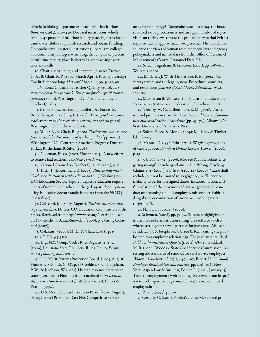criteria in biology departments of academic institutions. *Bioscience*, *56*(5), 430–436. Doctoral institutions, which employ 42 percent of full-time faculty, place higher value on candidates' ability to publish research and obtain funding. Comprehensive (master's) institutions, liberal arts colleges, and community colleges, which together employ 52 percent of full-time faculty, place higher value on teaching experience and skills.

30. Chait. (2002). p. 17, and chapter 4; also see Trower, C. A., & Chait, R. P. (2002, March-April). Faculty diversity: Too little for too long. *Harvard Magazine*, pp. 33–37, 98.

31. National Council on Teacher Quality. (2010). *2010 state teacher policy yearbook: Blueprint for change: National summary* (p. 10). Washington, DC: National Council on Teacher Quality.

32. Baratz-Snowden. (2009); Duffett, A., Farkas, S., Rotherham, A. J., & Silva, E. (2008). *Waiting to be won over, teachers speak on the profession, unions, and reform (*p. 20). Washington, DC: Education Sector.

33. Miller, R., & Chait, R. (2008). *Teacher turnover, tenure policies, and the distribution of teacher quality* (pp. 16–17)*.*  Washington, DC: Center for American Progress; Duffett, Farkas, Rotherham, & Silva. (2008).

34. Gootman, Elissa. (2007, November 15). A new effort to remove bad teachers. *The New York Times.*

35. National Council on Teacher Quality. (2010), p. 11.

36. Toch, T., & Rothman, R. (2008). *Rush to judgment: Teacher evaluation in public education* (p. 2). Washington, DC: Education Sector. (Figure 1 depicts evaluation requirements of untenured teachers in the 50 largest school systems, using Education Sector's analysis of data from the NCTQ T3 database).

37. Colasanti, M. (2007, August). *Teacher tenure/continuing contract laws*. Denver, CO: Education Commission of the States. Retrieved from [http://www.ecs.org/clearinghouse/](http://www.ecs.org/clearinghouse/75/64/7564.htm) [75/64/7564.htm;](http://www.ecs.org/clearinghouse/75/64/7564.htm) Baratz-Snowden (2009), p. 9 (citing Colasanti (2007)).

38. Colasanti. (2007); Miller & Chait. (2008), p. 15. 39. 5 C.F.R. § 315.803.

40. E.g., N.Y. Comp. Codes R. & Regs. tit. 4, § 35.5 (2009); Louisiana State Civil Serv. Rules, Ch. 10, *Performance planning and review*.

41. U.S. Merit Systems Protection Board. (2005, August); Hunter & Schmidt. (1988), p. 268; Selden, S. C., Ingraham, P. W., & Jacobson, W. (2001). Human resource practices in state government: Findings from a national survey. *Public Administration Review. 61*(5); Walters. (2000); Elliott & Peaton. (1994).

42. U.S. Merit Systems Protection Board (2005, August), citing Central Personnel Data File, Competitive Service

only, September 1998–September 2001. In 2004, the board surveyed 1,070 probationers and an equal number of supervisors on their views toward the probationary period (with a response rate of approximately 60 percent). The board also solicited the views of human resource specialists and agency policymakers and mined data from the Office of Personnel Management's Central Personnel Data File.

43. Selden, Ingraham, & Jacobson. (2001), pp. 598–607; Walters. (2000).

44. Mullaney, J. W., & Timberlake, E. M. (1994). University tenure and the legal system: Procedures, conflicts, and resolutions. *Journal of Social Work Education, 30*(2), 172–184.

45. McPherson & Winston. (1993); National Education Association & American Federation of Teachers. (n.d.).

46. Tierney, W. G., & Bensimon, E. M. (1996). The tenure and promotion years. In *Promotion and tenure: Community and socialization in academe* (pp. 43–74)*.* Albany, NY: State University of New York Press.

47. Solem, Foote, & Monk. (2009); Mullaney & Timberlake. (1994).

48. Manuel, D. (1998, February 4). Weighing pros, cons of tenure process. *Stanford Online Report*; Trower. (2000), p. 19.

49. 5 U.S.C. § 7513 (2009). Also see Paul H. Tobias, Litigating wrongful discharge claims, 2 Lit. Wrong. Discharge Claims § 7:7 (2009); Fla. Stat. § 100.227 (2000) ("cause shall include, but not be limited to, negligence, inefficiency or inability to perform assigned duties, insubordination, willful violation of the provisions of law or agency rules, conduct unbecoming a public employee, misconduct, habitual drug abuse, or conviction of any crime involving moral turpitude.").

50. Fla. Stat. § 100.227 (2000).

51. Saltzman. (2008), pp. 53–54. Saltzman highlights an illustrative 1964 arbritration ruling (also referred to elsewhere) setting out a seven-part test for just cause. Also see Hindera, J. J. & Josephson, J. J. (1998). Reinventing the public employer-employee relationship: The just cause standard. *Public Administration Quarterly, 22*(1), 98–113; Goddard, M. R. (2008). Woods v. State Civil Service Commission: Assessing the standards of removal for civil service employees. *Widener Law Journal, 17*(2), 449–467; Perritt, H. H. (1999). *Employee dismissal law and practice* (pp. 206–208). New York: Aspen Law & Business; Posner, R. (2006, January 15). Tenured employment [Web log post]. Retrieved from [http://](http://www.becker-posner-blog.com/archives/2006/01/tenured_employm.html) [www.becker-posner-blog.com/archives/2006/01/tenured\\_](http://www.becker-posner-blog.com/archives/2006/01/tenured_employm.html) [employm.html](http://www.becker-posner-blog.com/archives/2006/01/tenured_employm.html)

52. Perritt. (1999), p. 206.

53. Gertz, S. C. (2001). Florida's civil service appeal pro-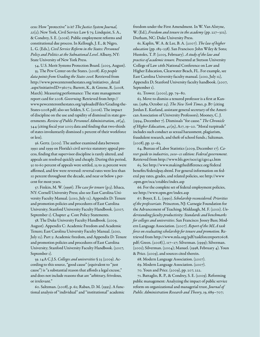cess: How "protective" is it? *The Justice System Journal, 22*(2); New York, Civil Service Law § 75; Lindquist, S. A., & Condrey, S. E. (2006). Public employment reforms and constitutional due process. In Kellough, J. E., & Nigro, L. G. (Eds.), *Civil Service Reform in the States: Personnel Policy and Politics at the Subnational Level*. Albany, NY: State University of New York Press.

54. U.S. Merit Systems Protection Board. (2005, August). 55. The Pew Center on the States. (2008). *Key people data points from Grading the States 2008*. Retrieved from [http://www.pewcenteronthestates.org/initiatives\\_detail](http://www.pewcenteronthestates.org/initiatives_detail.aspx?initiativeID=36072) [.aspx?initiativeID=36072;](http://www.pewcenteronthestates.org/initiatives_detail.aspx?initiativeID=36072) Barrett, K., & Greene, R. (2008, March). Measuring performance: The state management report card for 2008. *Governing*. Retrieved from [http://](http://www.pewcenteronthestates.org/uploadedFiles/Grading-the-States-2008.pdf) [www.pewcenteronthestates.org/uploadedFiles/Grading-the-](http://www.pewcenteronthestates.org/uploadedFiles/Grading-the-States-2008.pdf)[States-2008.pdf](http://www.pewcenteronthestates.org/uploadedFiles/Grading-the-States-2008.pdf); also see Selden, S. C. (2006). The impact of discipline on the use and rapidity of dismissal in state governments. *Review of Public Personnel Administration, 26*(4), 344 (citing fiscal year 2003 data and finding that two-thirds of states involuntarily dismissed 2 percent of their workforce or less).

56. Gertz. (2001). The author examined data between 1990 and 1999 on Florida's civil service statutory appeal process, finding that supervisor discipline is rarely altered, and appeals are resolved quickly and cheaply. During this period, 50 to 60 percent of appeals were settled, 25 to 35 percent were affirmed, and few were reversed: reversal rates were less than 10 percent throughout the decade, and near or below 5 percent for most years.

57. Finkin, M. W. (1996). *The* c*ase for tenure* (p.3). Ithaca, NY: Cornell University Press; also see East Carolina University Faculty Manual. (2010, July 12). Appendix D: Tenure and promotion policies and procedures of East Carolina University; Stanford University Faculty Handbook. (2007, September 1). Chapter 4: Core Policy Statements.

58. The Duke University Faculty Handbook. (2009, August). Appendix C: Academic Freedom and Academic Tenure; East Carolina University Faculty Manual. (2010, July 12). Part 3: Academic freedom, and Appendix D: Tenure and promotion policies and procedures of East Carolina University; Stanford University Faculty Handbook. (2007, September 1).

59. 14A C.J.S. *Colleges and universities* § 25 (2009). According to this source, "good cause" (equivalent to "just cause") is "a substantial reason that affords a legal excuse," and does not include reasons that are "arbitrary, frivolous, or irrelevant."

60. Saltzman. (2008), p. 62; Raban, D. M. (1993). A functional analysis of "individual" and "institutional" academic

freedom under the First Amendment*.* In W. Van Alstyne, W. (Ed.), *Freedom and tenure in the academy* (pp. 227–302). Durham, NC: Duke University Press.

61. Kaplin, W. A. & Lee, B. A. (2007). *The law of higher education* (pp. 185–238). San Francisco: John Wiley & Sons; Hustoles, T. P. (2005, February). *A study of the law and practice of academic tenure.* Presented at Stetson University College of Law 26th National Conference on Law and Higher Education, Clearwater Beach, FL. For example, see East Carolina University faculty manual. (2010, July 12), Appendix D; Stanford University faculty handbook. (2007, September 1).

62. Trower. (2000), pp. 79–80.

63. Move to dismiss a tenured professor is a first at Kansas. (1989, October 25). *The New York Times*, p. B7 (citing Jordan E. Kurland, assistant general secretary of the American Association of University Professors); Mooney, C. J. (1994, December 7). Dismissals "for cause." *The Chronicle of Higher Education, 41*(15), A17, 19–20. "Moral turpitude" includes such conduct as sexual harassment, plagiarism, fraudulent research, and theft of school funds.; Saltzman.  $(2008)$ , pp.  $51-65$ .

64. Bureau of Labor Statistics (2009, December 17). *Career guide to industries, 2010–11 edition: Federal government.* Retrieved from<http://www.bls.gov/oco/cg/cgs041.htm>

65. See [http://www.makingthedifference.org/federal](http://www.makingthedifference.org/federalbenefits/federalpay.shtml) [benefits/federalpay.shtml](http://www.makingthedifference.org/federalbenefits/federalpay.shtml). For general information on federal pay rates, grades, and related policies, see [http://www](http://www.opm.gov/oca/11tables/index.asp) [.opm.gov/oca/11tables/index.asp](http://www.opm.gov/oca/11tables/index.asp)

66. For the complete set of federal employment policies, see<http://www.opm.gov/index.asp>

67. Boyer, E. L. (1990). *Scholarship reconsidered: Priorities of the professoriate.* Princeton, NJ: Carnegie Foundation for the Advancement of Teaching; Middaugh, M. F. (2001). *Understanding faculty productivity: Standards and benchmarks for colleges and universities*. San Francisco: Jossey Bass; Modern Language Association. (2007). *Report of the MLA task force on evaluating scholarship for tenure and promotion*. Retrieved from [http://www.mla.org/pdf/taskforcereport0608.](http://www.mla.org/pdf/taskforcereport0608.pdf) [pdf;](http://www.mla.org/pdf/taskforcereport0608.pdf) Green. (2008).), 117–27; Silverman. (1999); Silverman. (2001); Silverman. (2004); Manuel. (1998, February 4). Youn & Price. (2009), and sources cited therein.

68. Modern Language Association. (2007).

69. Modern Language Association. (2007).

70. Youn and Price. (2009), pp. 207, 222.

71. Battaglio, R. P., & Condrey, S. E. (2009). Reforming public management: Analyzing the impact of public service reform on organizational and managerial trust. *Journal of Public Administration Research and Theory*, 19, 689–707;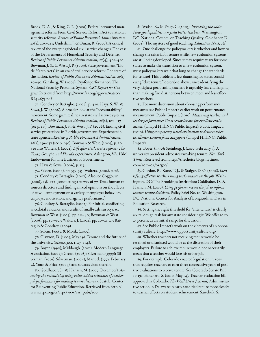Brook, D. A., & King, C. L. (2008). Federal personnel management reform: From Civil Service Reform Act to national security reforms. *Review of Public Personnel Administration, 28*(3), 205–221; Underhill, J. & Oman, R. (2007). A critical review of the sweeping federal civil service changes: The case of the Departments of Homeland Security and Defense. *Review of Public Personnel Administration, 27*(4), 401–420; Bowman, J. S., & West, J. P. (2009). State government "Little Hatch Acts" in an era of civil service reform: The state of the nation. *Review of Public Personnel Administration, 29*(1), 20–40; Ginsberg, W. (2008). Pay-for-performance: The National Security Personnel System. *CRS Report for Congress*. Retrieved from [http://www.fas.org/sgp/crs/natsec/](http://www.fas.org/sgp/crs/natsec/RL34673.pdf) [RL34673.pdf](http://www.fas.org/sgp/crs/natsec/RL34673.pdf)

72. Condrey & Battaglio. (2007), p. 426; Hays, S. W., & Sowa, J. W. (2006). A broader look at the "accountability" movement: Some grim realities in state civil service systems. *Review of Public Personnel Administration, 26*(2), 102–117 (see p. 113); Bowman, J. S., & West, J. P. (2006). Ending civil service protections in Florida government: Experiences in state agencies. *Review of Public Personnel Administration, 26*(2), 139–157 (see p. 140); Bowman & West. (2009), p. 20. See also Walters, J. (2002). *Life after civil service reform: The Texas, Georgia, and Florida experiences*. Arlington, VA: IBM Endowment for The Business of Government.

73. Hays & Sowa. (2006), p. 113.

74. Selden. (2006), pp. 335–355; Walters. (2002), p. 26.

75. Condrey & Battaglio. (2007). Also see Coggburn. (2006), 158–177 (conducting a survey of 77 Texas human resources directors and finding mixed opinions on the effects of at-will employment on a variety of employee behaviors, employee motivation, and agency performance).

76. Condrey & Battaglio. (2007). For initial, conflicting anecdotal evidence and results of small-scale surveys, see Bowman & West. (2009), pp. 20–40; Bowman & West. (2006), pp. 139–157; Walters, J. (2002), pp. 20–21, 27; Battaglio & Condrey. (2009).

77. Solem, Foote, & Monk. (2009).

78. Clawson, D. (2009, May 29). Tenure and the future of the university. *Science*, *324*, 1147–1148.

79. Boyer. (1990); Middaugh. (2001); Modern Language Association. (2007); Green. (2008); Silverman. (1999); Silverman. (2001); Silverman. (2004); Manuel. (1998, February 4). Youn & Price. (2009), and sources cited therein.

80. Goldhaber, D., & Hansen, M. (2009, December). *Assessing the potential of using value-added estimates of teacher job performance for making tenure decisions*. Seattle: Center for Reinventing Public Education. Retrieved from [http://](http://www.crpe.org/cs/crpe/view/csr_pubs/300) [www.crpe.org/cs/crpe/view/csr\\_pubs/300.](http://www.crpe.org/cs/crpe/view/csr_pubs/300)

81. Walsh, K., & Tracy, C. (2005). *Increasing the odds: How good qualities can yield better teachers.* Washington, DC: National Council on Teaching Quality; Goldhaber, D. (2002). The mystery of good teaching. *Education Next, 2*(1)*.*

82. One challenge for policymakers is whether and how to change the criteria for tenure while new evaluation systems are still being developed. Since it may require years for some states to make the transition to a new evaluation system, must policymakers wait that long to change the standards for tenure? This problem is less daunting for states considering "elite tenure," described above, since identifying the very highest performing teachers is arguably less challenging than making fine distinctions between more and less effective teachers.

83. For more discussion about choosing performance measures, see Public Impact's earlier work on performance measurement: Public Impact. (2010). *Measuring teacher and*  leader performance: Cross-sector lessons for excellent evalu*ations.* (Chapel Hill, NC: Public Impact); Public Impact. (2010). *Using competency-based evaluation to drive teacher excellence: Lessons from Singapore* (Chapel Hill, NC: Public Impact).

84. Boyer. (1990); Steinberg, J. (2010, February 5). A university president advocates tweaking tenure. *New York Times*. Retrieved from [http://thechoice.blogs.nytimes.](http://thechoice.blogs.nytimes.com/2010/02/05/gee) [com/2010/02/05/gee](http://thechoice.blogs.nytimes.com/2010/02/05/gee)/

85. Gordon, R., Kane, T. J., & Staiger, D. O. (2006). *Identifying effective teachers using performance on the job.* Washington, DC: The Brookings Institution; Goldhaber, D., & Hansen, M. (2010). *Using performance on the job to inform teacher tenure decisions*. Policy Brief No. 10. Washington, DC: National Center for Analysis of Longitudinal Data in Education Research.

86. Setting the right threshold for "elite tenure" is clearly a vital design task for any state considering it. We offer 10 to 25 percent as an initial range for discussion.

87. See Public Impact's work on the elements of an opportunity culture: [http://www.opportunityculture.org/](http://www.opportunityculture.org)

88. Whether teachers not receiving tenure would be retained or dismissed would be at the discretion of their employers. Failure to achieve tenure would not necessarily mean that a teacher would lose his or her job.

89. For example, Colorado enacted legislation in 2010 that requires teachers to earn three consecutive years of positive evaluations to receive tenure. See Colorado Senate Bill 10-191; Banchero, S. (2010, May 14). Teacher-evaluation bill approved in Colorado. *The Wall Street Journal;* Administrative action in Delaware in early 2010 tied tenure more closely to teacher effects on student achievement. Sawchuk, S.